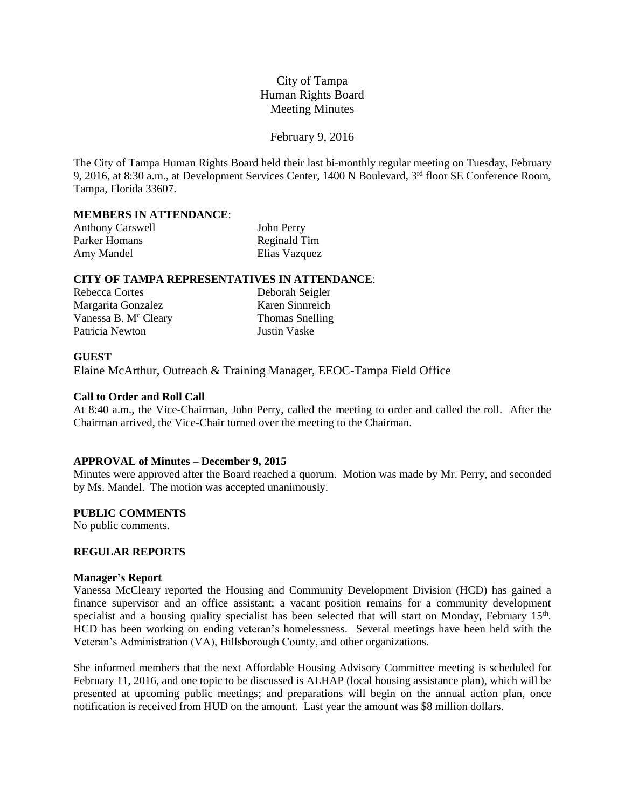# City of Tampa Human Rights Board Meeting Minutes

### February 9, 2016

The City of Tampa Human Rights Board held their last bi-monthly regular meeting on Tuesday, February 9, 2016, at 8:30 a.m., at Development Services Center, 1400 N Boulevard, 3rd floor SE Conference Room, Tampa, Florida 33607.

# **MEMBERS IN ATTENDANCE**:

| <b>Anthony Carswell</b> | John Perry    |
|-------------------------|---------------|
| Parker Homans           | Reginald Tim  |
| Amy Mandel              | Elias Vazquez |

#### **CITY OF TAMPA REPRESENTATIVES IN ATTENDANCE**:

| Rebecca Cortes                   |
|----------------------------------|
| Margarita Gonzalez               |
| Vanessa B. M <sup>c</sup> Cleary |
| Patricia Newton                  |

Deborah Seigler Karen Sinnreich Thomas Snelling Justin Vaske

# **GUEST**

Elaine McArthur, Outreach & Training Manager, EEOC-Tampa Field Office

# **Call to Order and Roll Call**

At 8:40 a.m., the Vice-Chairman, John Perry, called the meeting to order and called the roll. After the Chairman arrived, the Vice-Chair turned over the meeting to the Chairman.

#### **APPROVAL of Minutes – December 9, 2015**

Minutes were approved after the Board reached a quorum. Motion was made by Mr. Perry, and seconded by Ms. Mandel. The motion was accepted unanimously.

# **PUBLIC COMMENTS**

No public comments.

# **REGULAR REPORTS**

# **Manager's Report**

Vanessa McCleary reported the Housing and Community Development Division (HCD) has gained a finance supervisor and an office assistant; a vacant position remains for a community development specialist and a housing quality specialist has been selected that will start on Monday, February 15<sup>th</sup>. HCD has been working on ending veteran's homelessness. Several meetings have been held with the Veteran's Administration (VA), Hillsborough County, and other organizations.

She informed members that the next Affordable Housing Advisory Committee meeting is scheduled for February 11, 2016, and one topic to be discussed is ALHAP (local housing assistance plan), which will be presented at upcoming public meetings; and preparations will begin on the annual action plan, once notification is received from HUD on the amount. Last year the amount was \$8 million dollars.